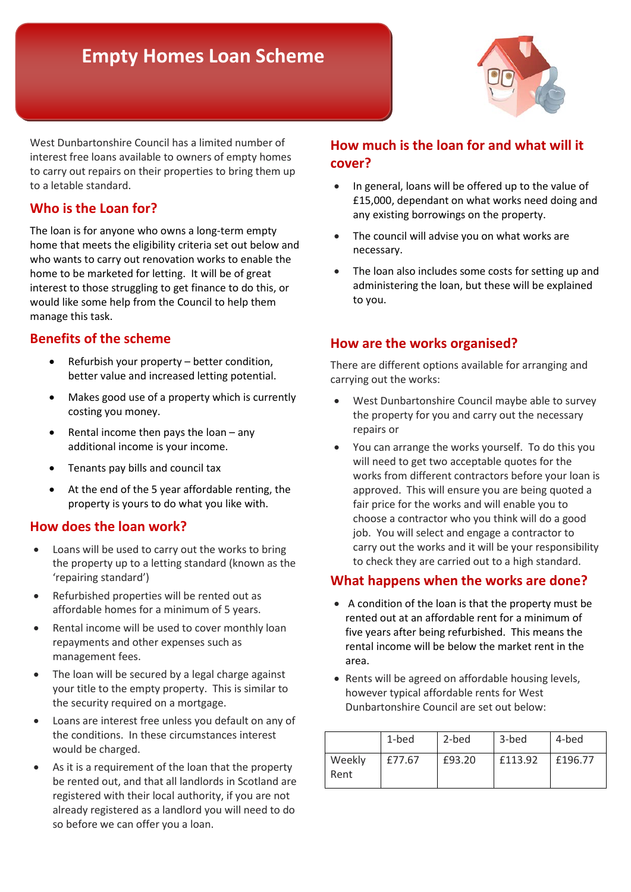# **Empty Homes Loan Scheme**



 to carry out repairs on their properties to bring them up West Dunbartonshire Council has a limited number of interest free loans available to owners of empty homes to a letable standard.

## **Who is the Loan for?**

 who wants to carry out renovation works to enable the home to be marketed for letting. It will be of great The loan is for anyone who owns a long-term empty home that meets the eligibility criteria set out below and interest to those struggling to get finance to do this, or would like some help from the Council to help them manage this task.

## **Benefits of the scheme**

- Refurbish your property better condition, better value and increased letting potential.
- Makes good use of a property which is currently costing you money.
- Rental income then pays the loan  $-$  any additional income is your income.
- Tenants pay bills and council tax
- • At the end of the 5 year affordable renting, the property is yours to do what you like with.

#### **How does the loan work?**

- • Loans will be used to carry out the works to bring the property up to a letting standard (known as the 'repairing standard')
- Refurbished properties will be rented out as affordable homes for a minimum of 5 years.
- • Rental income will be used to cover monthly loan repayments and other expenses such as management fees.
- your title to the empty property. This is similar to The loan will be secured by a legal charge against the security required on a mortgage.
- Loans are interest free unless you default on any of the conditions. In these circumstances interest would be charged.
- already registered as a landlord you will need to do so before we can offer you a loan. As it is a requirement of the loan that the property be rented out, and that all landlords in Scotland are registered with their local authority, if you are not

## **How much is the loan for and what will it cover?**

- £15,000, dependant on what works need doing and any existing borrowings on the property. • In general, loans will be offered up to the value of
- The council will advise you on what works are necessary.
- The loan also includes some costs for setting up and administering the loan, but these will be explained to you.

## **How are the works organised?**

There are different options available for arranging and carrying out the works:

- • West Dunbartonshire Council maybe able to survey the property for you and carry out the necessary repairs or
- • You can arrange the works yourself. To do this you works from different contractors before your loan is approved. This will ensure you are being quoted a choose a contractor who you think will do a good carry out the works and it will be your responsibility will need to get two acceptable quotes for the fair price for the works and will enable you to job. You will select and engage a contractor to to check they are carried out to a high standard.

### **What happens when the works are done?**

- five years after being refurbished. This means the • A condition of the loan is that the property must be rented out at an affordable rent for a minimum of rental income will be below the market rent in the area.
- Rents will be agreed on affordable housing levels, however typical affordable rents for West Dunbartonshire Council are set out below:

|                | 1-bed  | 2-bed  | 3-bed   | 4-bed   |
|----------------|--------|--------|---------|---------|
| Weekly<br>Rent | £77.67 | £93.20 | £113.92 | £196.77 |